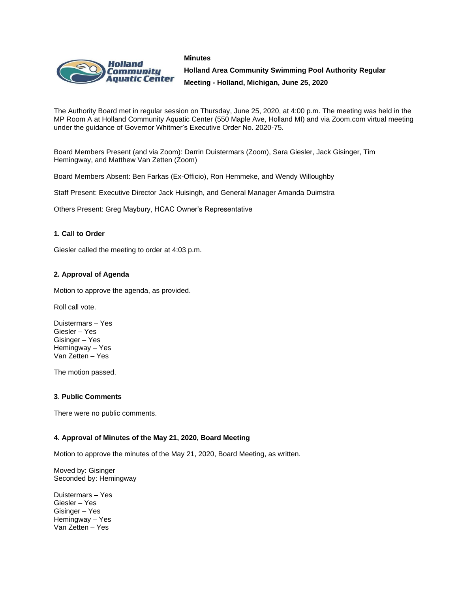#### **Minutes**



**Holland Area Community Swimming Pool Authority Regular Meeting - Holland, Michigan, June 25, 2020**

The Authority Board met in regular session on Thursday, June 25, 2020, at 4:00 p.m. The meeting was held in the MP Room A at Holland Community Aquatic Center (550 Maple Ave, Holland MI) and via Zoom.com virtual meeting under the guidance of Governor Whitmer's Executive Order No. 2020-75.

Board Members Present (and via Zoom): Darrin Duistermars (Zoom), Sara Giesler, Jack Gisinger, Tim Hemingway, and Matthew Van Zetten (Zoom)

Board Members Absent: Ben Farkas (Ex-Officio), Ron Hemmeke, and Wendy Willoughby

Staff Present: Executive Director Jack Huisingh, and General Manager Amanda Duimstra

Others Present: Greg Maybury, HCAC Owner's Representative

### **1. Call to Order**

Giesler called the meeting to order at 4:03 p.m.

### **2. Approval of Agenda**

Motion to approve the agenda, as provided.

Roll call vote.

Duistermars – Yes Giesler – Yes Gisinger – Yes Hemingway – Yes Van Zetten – Yes

The motion passed.

### **3**. **Public Comments**

There were no public comments.

### **4. Approval of Minutes of the May 21, 2020, Board Meeting**

Motion to approve the minutes of the May 21, 2020, Board Meeting, as written.

Moved by: Gisinger Seconded by: Hemingway

Duistermars – Yes Giesler – Yes Gisinger – Yes Hemingway – Yes Van Zetten – Yes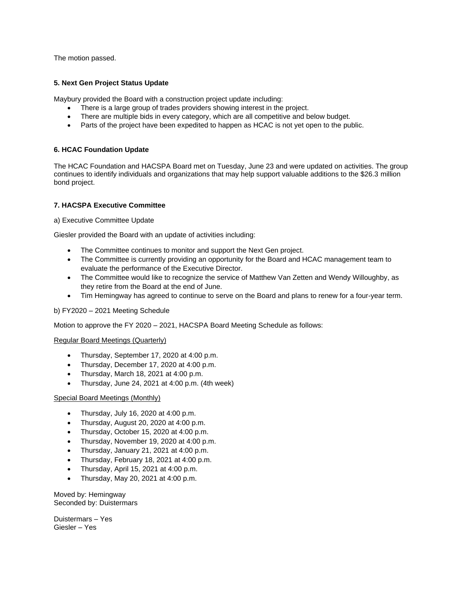The motion passed.

## **5. Next Gen Project Status Update**

Maybury provided the Board with a construction project update including:

- There is a large group of trades providers showing interest in the project.
- There are multiple bids in every category, which are all competitive and below budget.
- Parts of the project have been expedited to happen as HCAC is not yet open to the public.

# **6. HCAC Foundation Update**

The HCAC Foundation and HACSPA Board met on Tuesday, June 23 and were updated on activities. The group continues to identify individuals and organizations that may help support valuable additions to the \$26.3 million bond project.

# **7. HACSPA Executive Committee**

a) Executive Committee Update

Giesler provided the Board with an update of activities including:

- The Committee continues to monitor and support the Next Gen project.
- The Committee is currently providing an opportunity for the Board and HCAC management team to evaluate the performance of the Executive Director.
- The Committee would like to recognize the service of Matthew Van Zetten and Wendy Willoughby, as they retire from the Board at the end of June.
- Tim Hemingway has agreed to continue to serve on the Board and plans to renew for a four-year term.

# b) FY2020 – 2021 Meeting Schedule

Motion to approve the FY 2020 – 2021, HACSPA Board Meeting Schedule as follows:

### Regular Board Meetings (Quarterly)

- Thursday, September 17, 2020 at 4:00 p.m.
- Thursday, December 17, 2020 at 4:00 p.m.
- Thursday, March 18, 2021 at 4:00 p.m.
- Thursday, June 24, 2021 at 4:00 p.m. (4th week)

### Special Board Meetings (Monthly)

- Thursday, July 16, 2020 at 4:00 p.m.
- Thursday, August 20, 2020 at 4:00 p.m.
- Thursday, October 15, 2020 at 4:00 p.m.
- Thursday, November 19, 2020 at 4:00 p.m.
- Thursday, January 21, 2021 at 4:00 p.m.
- Thursday, February 18, 2021 at 4:00 p.m.
- Thursday, April 15, 2021 at 4:00 p.m.
- Thursday, May 20, 2021 at 4:00 p.m.

Moved by: Hemingway Seconded by: Duistermars

Duistermars – Yes Giesler – Yes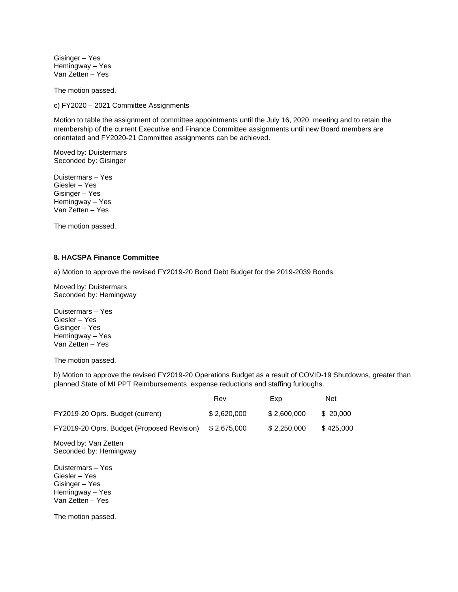Gisinger – Yes Hemingway – Yes Van Zetten – Yes

The motion passed.

c) FY2020 – 2021 Committee Assignments

Motion to table the assignment of committee appointments until the July 16, 2020, meeting and to retain the membership of the current Executive and Finance Committee assignments until new Board members are orientated and FY2020-21 Committee assignments can be achieved.

Moved by: Duistermars Seconded by: Gisinger

Duistermars – Yes Giesler – Yes Gisinger – Yes Hemingway – Yes Van Zetten – Yes

The motion passed.

## **8. HACSPA Finance Committee**

a) Motion to approve the revised FY2019-20 Bond Debt Budget for the 2019-2039 Bonds

Moved by: Duistermars Seconded by: Hemingway

Duistermars – Yes Giesler – Yes Gisinger – Yes Hemingway – Yes Van Zetten – Yes

The motion passed.

b) Motion to approve the revised FY2019-20 Operations Budget as a result of COVID-19 Shutdowns, greater than planned State of MI PPT Reimbursements, expense reductions and staffing furloughs.

|                                                                                             | Rev         | Exp         | <b>Net</b> |
|---------------------------------------------------------------------------------------------|-------------|-------------|------------|
| FY2019-20 Oprs. Budget (current)                                                            | \$2,620,000 | \$2,600,000 | \$20,000   |
| FY2019-20 Oprs. Budget (Proposed Revision)                                                  | \$2,675,000 | \$2,250,000 | \$425,000  |
| Moved by: Van Zetten<br>Seconded by: Hemingway                                              |             |             |            |
| Duistermars - Yes<br>Giesler – Yes<br>Gisinger – Yes<br>Hemingway - Yes<br>Van Zetten – Yes |             |             |            |
| The motion passed.                                                                          |             |             |            |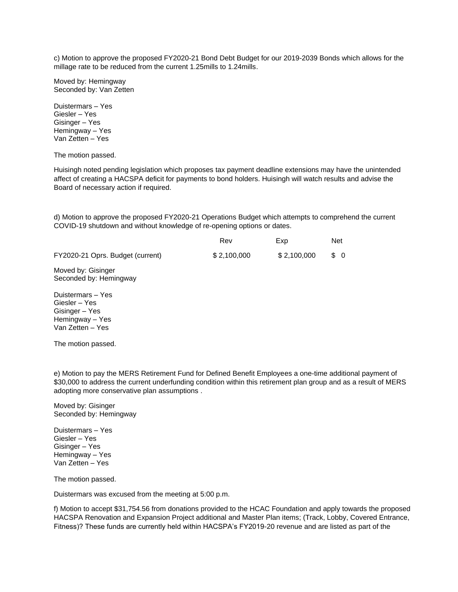c) Motion to approve the proposed FY2020-21 Bond Debt Budget for our 2019-2039 Bonds which allows for the millage rate to be reduced from the current 1.25mills to 1.24mills.

Moved by: Hemingway Seconded by: Van Zetten

Duistermars – Yes Giesler – Yes Gisinger – Yes Hemingway – Yes Van Zetten – Yes

The motion passed.

Huisingh noted pending legislation which proposes tax payment deadline extensions may have the unintended affect of creating a HACSPA deficit for payments to bond holders. Huisingh will watch results and advise the Board of necessary action if required.

d) Motion to approve the proposed FY2020-21 Operations Budget which attempts to comprehend the current COVID-19 shutdown and without knowledge of re-opening options or dates.

|                                  | Rev         | <b>Exp</b>  | <b>Net</b> |
|----------------------------------|-------------|-------------|------------|
| FY2020-21 Oprs. Budget (current) | \$2,100,000 | \$2.100.000 | \$0        |

Moved by: Gisinger Seconded by: Hemingway

Duistermars – Yes Giesler – Yes Gisinger – Yes Hemingway – Yes Van Zetten – Yes

The motion passed.

e) Motion to pay the MERS Retirement Fund for Defined Benefit Employees a one-time additional payment of \$30,000 to address the current underfunding condition within this retirement plan group and as a result of MERS adopting more conservative plan assumptions .

Moved by: Gisinger Seconded by: Hemingway

Duistermars – Yes Giesler – Yes Gisinger – Yes Hemingway – Yes Van Zetten – Yes

The motion passed.

Duistermars was excused from the meeting at 5:00 p.m.

f) Motion to accept \$31,754.56 from donations provided to the HCAC Foundation and apply towards the proposed HACSPA Renovation and Expansion Project additional and Master Plan items; (Track, Lobby, Covered Entrance, Fitness)? These funds are currently held within HACSPA's FY2019-20 revenue and are listed as part of the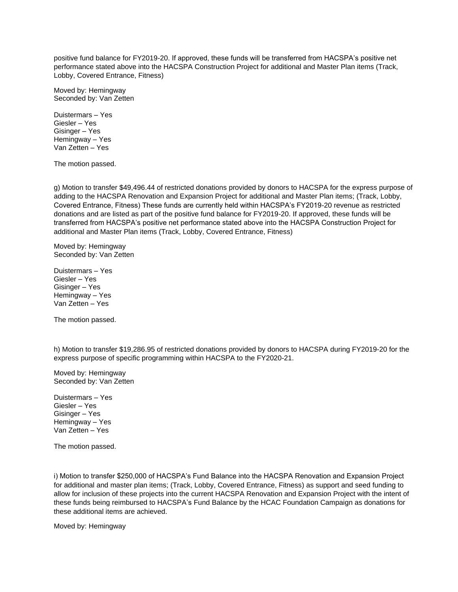positive fund balance for FY2019-20. If approved, these funds will be transferred from HACSPA's positive net performance stated above into the HACSPA Construction Project for additional and Master Plan items (Track, Lobby, Covered Entrance, Fitness)

Moved by: Hemingway Seconded by: Van Zetten

Duistermars – Yes Giesler – Yes Gisinger – Yes Hemingway – Yes Van Zetten – Yes

The motion passed.

g) Motion to transfer \$49,496.44 of restricted donations provided by donors to HACSPA for the express purpose of adding to the HACSPA Renovation and Expansion Project for additional and Master Plan items; (Track, Lobby, Covered Entrance, Fitness) These funds are currently held within HACSPA's FY2019-20 revenue as restricted donations and are listed as part of the positive fund balance for FY2019-20. If approved, these funds will be transferred from HACSPA's positive net performance stated above into the HACSPA Construction Project for additional and Master Plan items (Track, Lobby, Covered Entrance, Fitness)

Moved by: Hemingway Seconded by: Van Zetten

Duistermars – Yes Giesler – Yes Gisinger – Yes Hemingway – Yes Van Zetten – Yes

The motion passed.

h) Motion to transfer \$19,286.95 of restricted donations provided by donors to HACSPA during FY2019-20 for the express purpose of specific programming within HACSPA to the FY2020-21.

Moved by: Hemingway Seconded by: Van Zetten

Duistermars – Yes Giesler – Yes Gisinger – Yes Hemingway – Yes Van Zetten – Yes

The motion passed.

i) Motion to transfer \$250,000 of HACSPA's Fund Balance into the HACSPA Renovation and Expansion Project for additional and master plan items; (Track, Lobby, Covered Entrance, Fitness) as support and seed funding to allow for inclusion of these projects into the current HACSPA Renovation and Expansion Project with the intent of these funds being reimbursed to HACSPA's Fund Balance by the HCAC Foundation Campaign as donations for these additional items are achieved.

Moved by: Hemingway